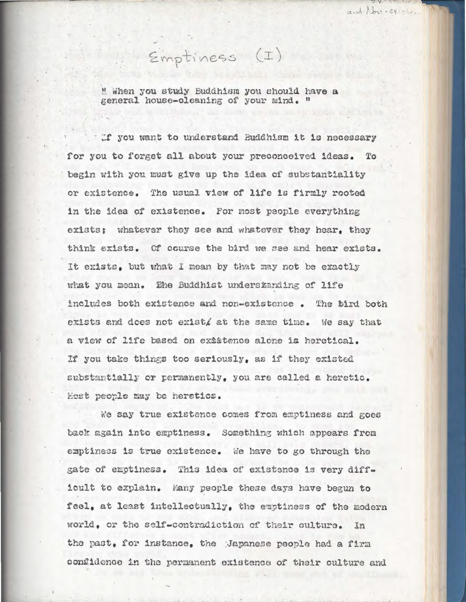" When you study Buddhism you should have a general house-oleaning of your mind. "

Emptiness (I)

and Non-246-1

If you want to understand Buddhism it is necessary for you to forget all about your preconceived ideas. To begin with you must give up the idea of substantiality or existence. The usual view of life is firmly rooted in the idea of existence. For most people everything exists; whatever they see and whatever they hear, they think exists. Of course the bird we see and hear exists. It exists, but what I mean by that may not be exactly what you mean. The Buddhist understanding of life includes both existence and non-existence. The bird both exists and does not exist, at the same time. We say that a view of life based on existence alone is heretical. If you take things too seriously, as if they existed substantially or permanently, you are called a heretic. Hest people may be heretics.

We say true existence comes from emptiness and goes back again into emptiness. Something which appears from emptiness is true existence. We have to go through the gate of emptiness. This idea of existence is very difficult to explain. Many people these days have begun to feel, at least intellectually, the emptiness of the modern world, or the self-contradiction of their culture. In the past, for instance, the Gapanese people had a firm confidence in the permanent existence of their culture and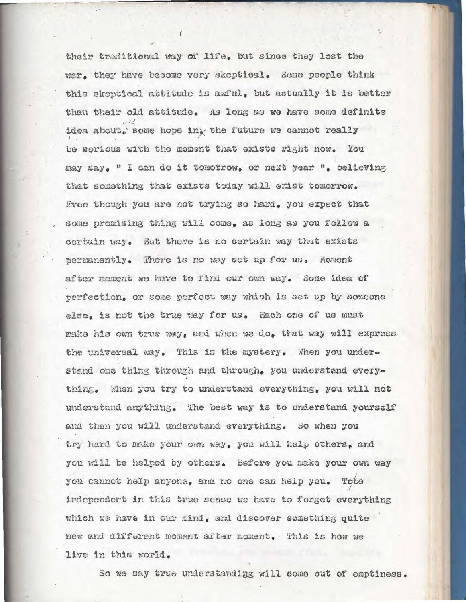their traditional way of life, but since they lost the war. they have become very skeptical. Some people think this skeptical attitude is awful, but actually it is better than their old attitude. As long as we have some definite idea about, some hope ing the future we cannot really be serious with the moment that exists right now. You may say. " I can do it tomotrow, or next year ", believing that something that exists today will exist tomorrow. Even though you are not trying so hard, you expect that some promising thing will come. as long as you follow a certain way. But there is no certain way that exists permanently. There is no way set up for us. Moment after moment we have to find our own way. Some idea of perfection, or some perfect way which is set up by someone else. is not the true way for us. Each one of us must make his own true way, and when we do, that way will express the universal way. This is the mystery. When you understand one thing through and through, you understand everything. When you try to understand everything, you will not understand anything. The best way is to understand yourself and then you will understand everything. So when you try hard to make your own way, you will help others, and you will be helped by others. Before you make your own way you cannot help anyone, and no one can help you. Tobe independent in this true sense we have to forget everything which we have in our mind, and discover something quite new and different moment after moment. This is how we live in this world.

So we say true understanding will come out of emptiness.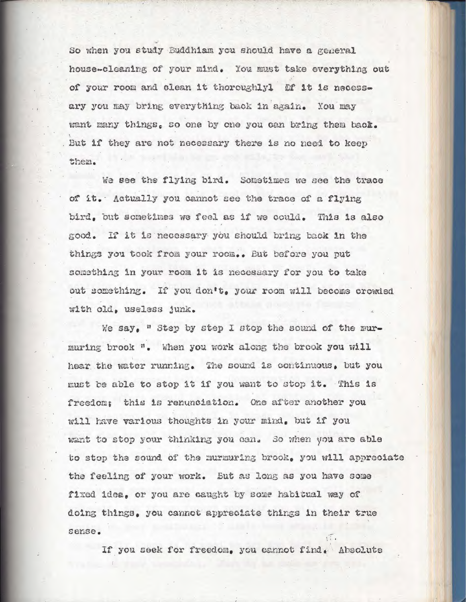So when you study Buddhiam you should have a general house-cleaning of your mind. You must take everything out of your room and clean it thoroughlyl ff it is necessary you may bring everything back in again. You may want many things. so one by one you can bring them back. But if they are not necessary there is no need to keep them.

We see the flying bird. Sometimes we see the trace of it. Actually you cannot see the trace of a flying bird, but sometimes we feel as if we could. This is also good. If it is necessary you should bring back in the things you took from your room.. But before you put something in your room it is necessary for you to take out something. If you don't, your room will become crowded with old, useless junk.

We say. " Step by step I stop the sound of the murmuring brook ". When you work along the brook you will hear the water running. The sound is continuous, but you must be able to stop it if you want to stop it. This is freedom: this is renunciation. One after another you will have various thoughts in your mind, but if you want to stop your thinking you can. So when you are able to stop the sound of the nurmuring brook, you will appreciate the feeling of your work. But as long as you have some fixed idea, or you are caught by some habitual way of doing things, you cannot appreciate things in their true sense.

If you seek for freedom, you cannot find, Absolute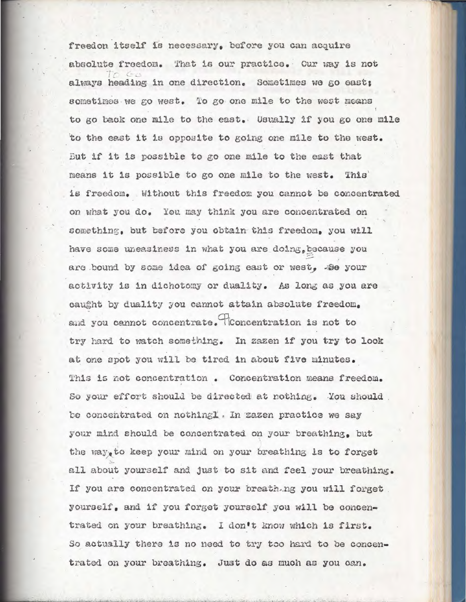freedon itself is necessary, before you can acquire absolute freedom. That is our practice. Our way is not always heading in one direction. Sometimes we go east; sometimes we go west. To go one mile to the west means to go back one mile to the east. Usually if you go one mile to the cast it is opposite to going one mile to the west. But if it is possible to go one mile to the east that means it is possible to go one mile to the west. This is freedom. Without this freedom you cannot be concentrated on what you do. You may think you are concentrated on something, but before you obtain this freedom, you will have some uneasiness in what you are doing, because you are bound by some idea of going east or west. So your activity is in dichotomy or duality. As long as you are caught by duality you cannot attain absolute freedom. and you cannot concentrate. Toncentration is not to try hard to watch something. In zazen if you try to look at one spot you will be tired in about five minutes. This is not concentration. Concentration means freedom. So your effort should be directed at nothing. You should be concentrated on nothing !. In zazen practice we say your mind should be concentrated on your breathing, but the way, to keep your mind on your breathing is to forget all about yourself and just to sit and feel your breathing. If you are concentrated on your breathing you will forget yourself, and if you forget yourself you will be concentrated on your breathing. I don't know which is first. So actually there is no need to try too hard to be concentrated on your breathing. Just do as much as you can.